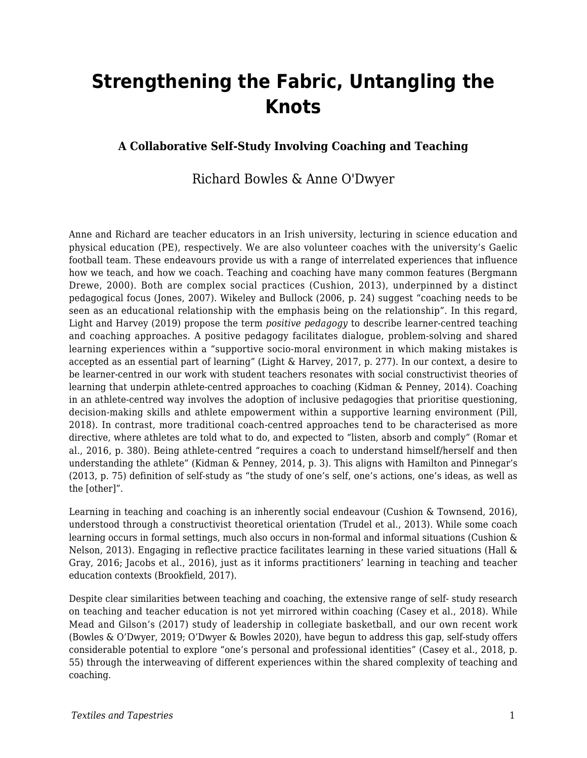# **Strengthening the Fabric, Untangling the Knots**

#### **A Collaborative Self-Study Involving Coaching and Teaching**

#### Richard Bowles & Anne O'Dwyer

Anne and Richard are teacher educators in an Irish university, lecturing in science education and physical education (PE), respectively. We are also volunteer coaches with the university's Gaelic football team. These endeavours provide us with a range of interrelated experiences that influence how we teach, and how we coach. Teaching and coaching have many common features (Bergmann Drewe, 2000). Both are complex social practices (Cushion, 2013), underpinned by a distinct pedagogical focus (Jones, 2007). Wikeley and Bullock (2006, p. 24) suggest "coaching needs to be seen as an educational relationship with the emphasis being on the relationship". In this regard, Light and Harvey (2019) propose the term *positive pedagogy* to describe learner-centred teaching and coaching approaches. A positive pedagogy facilitates dialogue, problem-solving and shared learning experiences within a "supportive socio-moral environment in which making mistakes is accepted as an essential part of learning" (Light & Harvey, 2017, p. 277). In our context, a desire to be learner-centred in our work with student teachers resonates with social constructivist theories of learning that underpin athlete-centred approaches to coaching (Kidman & Penney, 2014). Coaching in an athlete-centred way involves the adoption of inclusive pedagogies that prioritise questioning, decision-making skills and athlete empowerment within a supportive learning environment (Pill, 2018). In contrast, more traditional coach-centred approaches tend to be characterised as more directive, where athletes are told what to do, and expected to "listen, absorb and comply" (Romar et al., 2016, p. 380). Being athlete-centred "requires a coach to understand himself/herself and then understanding the athlete" (Kidman & Penney, 2014, p. 3). This aligns with Hamilton and Pinnegar's (2013, p. 75) definition of self-study as "the study of one's self, one's actions, one's ideas, as well as the [other]".

Learning in teaching and coaching is an inherently social endeavour (Cushion & Townsend, 2016), understood through a constructivist theoretical orientation (Trudel et al., 2013). While some coach learning occurs in formal settings, much also occurs in non-formal and informal situations (Cushion & Nelson, 2013). Engaging in reflective practice facilitates learning in these varied situations (Hall & Gray, 2016; Jacobs et al., 2016), just as it informs practitioners' learning in teaching and teacher education contexts (Brookfield, 2017).

Despite clear similarities between teaching and coaching, the extensive range of self- study research on teaching and teacher education is not yet mirrored within coaching (Casey et al., 2018). While Mead and Gilson's (2017) study of leadership in collegiate basketball, and our own recent work (Bowles & O'Dwyer, 2019; O'Dwyer & Bowles 2020), have begun to address this gap, self-study offers considerable potential to explore "one's personal and professional identities" (Casey et al., 2018, p. 55) through the interweaving of different experiences within the shared complexity of teaching and coaching.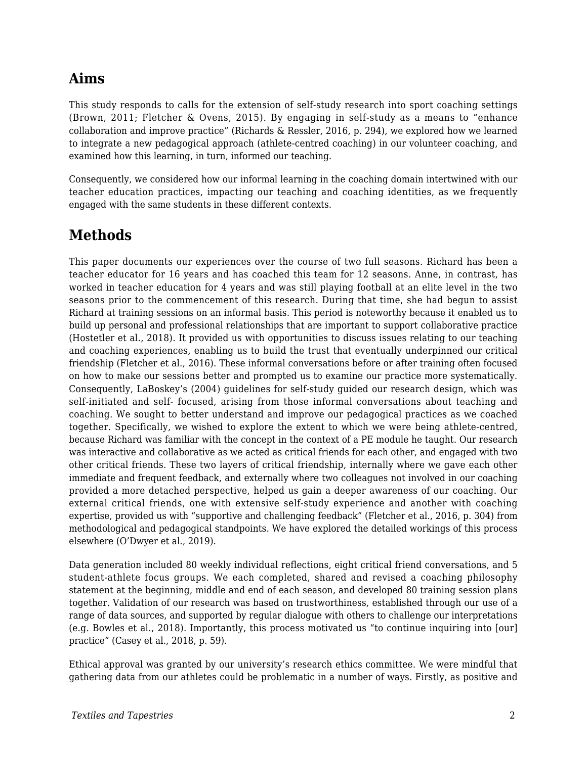## **Aims**

This study responds to calls for the extension of self-study research into sport coaching settings (Brown, 2011; Fletcher & Ovens, 2015). By engaging in self-study as a means to "enhance collaboration and improve practice" (Richards & Ressler, 2016, p. 294), we explored how we learned to integrate a new pedagogical approach (athlete-centred coaching) in our volunteer coaching, and examined how this learning, in turn, informed our teaching.

Consequently, we considered how our informal learning in the coaching domain intertwined with our teacher education practices, impacting our teaching and coaching identities, as we frequently engaged with the same students in these different contexts.

### **Methods**

This paper documents our experiences over the course of two full seasons. Richard has been a teacher educator for 16 years and has coached this team for 12 seasons. Anne, in contrast, has worked in teacher education for 4 years and was still playing football at an elite level in the two seasons prior to the commencement of this research. During that time, she had begun to assist Richard at training sessions on an informal basis. This period is noteworthy because it enabled us to build up personal and professional relationships that are important to support collaborative practice (Hostetler et al., 2018). It provided us with opportunities to discuss issues relating to our teaching and coaching experiences, enabling us to build the trust that eventually underpinned our critical friendship (Fletcher et al., 2016). These informal conversations before or after training often focused on how to make our sessions better and prompted us to examine our practice more systematically. Consequently, LaBoskey's (2004) guidelines for self-study guided our research design, which was self-initiated and self- focused, arising from those informal conversations about teaching and coaching. We sought to better understand and improve our pedagogical practices as we coached together. Specifically, we wished to explore the extent to which we were being athlete-centred, because Richard was familiar with the concept in the context of a PE module he taught. Our research was interactive and collaborative as we acted as critical friends for each other, and engaged with two other critical friends. These two layers of critical friendship, internally where we gave each other immediate and frequent feedback, and externally where two colleagues not involved in our coaching provided a more detached perspective, helped us gain a deeper awareness of our coaching. Our external critical friends, one with extensive self-study experience and another with coaching expertise, provided us with "supportive and challenging feedback" (Fletcher et al., 2016, p. 304) from methodological and pedagogical standpoints. We have explored the detailed workings of this process elsewhere (O'Dwyer et al., 2019).

Data generation included 80 weekly individual reflections, eight critical friend conversations, and 5 student-athlete focus groups. We each completed, shared and revised a coaching philosophy statement at the beginning, middle and end of each season, and developed 80 training session plans together. Validation of our research was based on trustworthiness, established through our use of a range of data sources, and supported by regular dialogue with others to challenge our interpretations (e.g. Bowles et al., 2018). Importantly, this process motivated us "to continue inquiring into [our] practice" (Casey et al., 2018, p. 59).

Ethical approval was granted by our university's research ethics committee. We were mindful that gathering data from our athletes could be problematic in a number of ways. Firstly, as positive and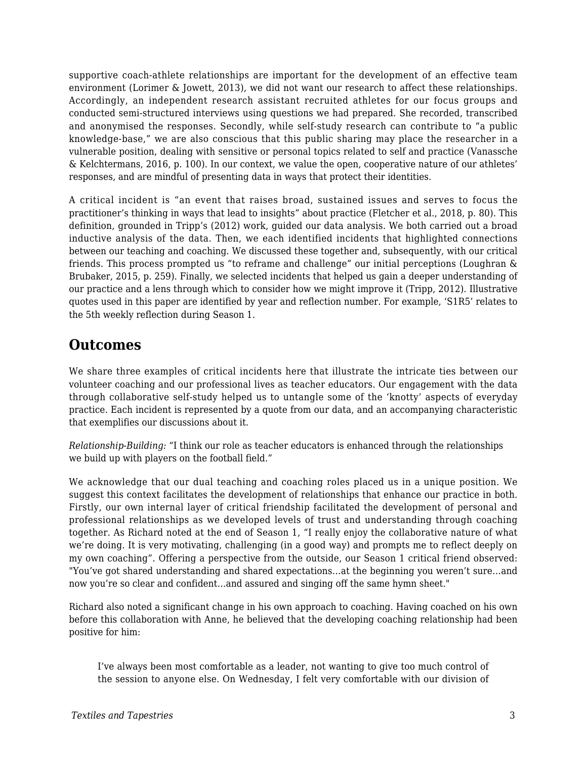supportive coach-athlete relationships are important for the development of an effective team environment (Lorimer & Jowett, 2013), we did not want our research to affect these relationships. Accordingly, an independent research assistant recruited athletes for our focus groups and conducted semi-structured interviews using questions we had prepared. She recorded, transcribed and anonymised the responses. Secondly, while self-study research can contribute to "a public knowledge-base," we are also conscious that this public sharing may place the researcher in a vulnerable position, dealing with sensitive or personal topics related to self and practice (Vanassche & Kelchtermans, 2016, p. 100). In our context, we value the open, cooperative nature of our athletes' responses, and are mindful of presenting data in ways that protect their identities.

A critical incident is "an event that raises broad, sustained issues and serves to focus the practitioner's thinking in ways that lead to insights" about practice (Fletcher et al., 2018, p. 80). This definition, grounded in Tripp's (2012) work, guided our data analysis. We both carried out a broad inductive analysis of the data. Then, we each identified incidents that highlighted connections between our teaching and coaching. We discussed these together and, subsequently, with our critical friends. This process prompted us "to reframe and challenge" our initial perceptions (Loughran & Brubaker, 2015, p. 259). Finally, we selected incidents that helped us gain a deeper understanding of our practice and a lens through which to consider how we might improve it (Tripp, 2012). Illustrative quotes used in this paper are identified by year and reflection number. For example, 'S1R5' relates to the 5th weekly reflection during Season 1.

### **Outcomes**

We share three examples of critical incidents here that illustrate the intricate ties between our volunteer coaching and our professional lives as teacher educators. Our engagement with the data through collaborative self-study helped us to untangle some of the 'knotty' aspects of everyday practice. Each incident is represented by a quote from our data, and an accompanying characteristic that exemplifies our discussions about it.

*Relationship-Building:* "I think our role as teacher educators is enhanced through the relationships we build up with players on the football field."

We acknowledge that our dual teaching and coaching roles placed us in a unique position. We suggest this context facilitates the development of relationships that enhance our practice in both. Firstly, our own internal layer of critical friendship facilitated the development of personal and professional relationships as we developed levels of trust and understanding through coaching together. As Richard noted at the end of Season 1, "I really enjoy the collaborative nature of what we're doing. It is very motivating, challenging (in a good way) and prompts me to reflect deeply on my own coaching". Offering a perspective from the outside, our Season 1 critical friend observed: "You've got shared understanding and shared expectations…at the beginning you weren't sure…and now you're so clear and confident…and assured and singing off the same hymn sheet."

Richard also noted a significant change in his own approach to coaching. Having coached on his own before this collaboration with Anne, he believed that the developing coaching relationship had been positive for him:

I've always been most comfortable as a leader, not wanting to give too much control of the session to anyone else. On Wednesday, I felt very comfortable with our division of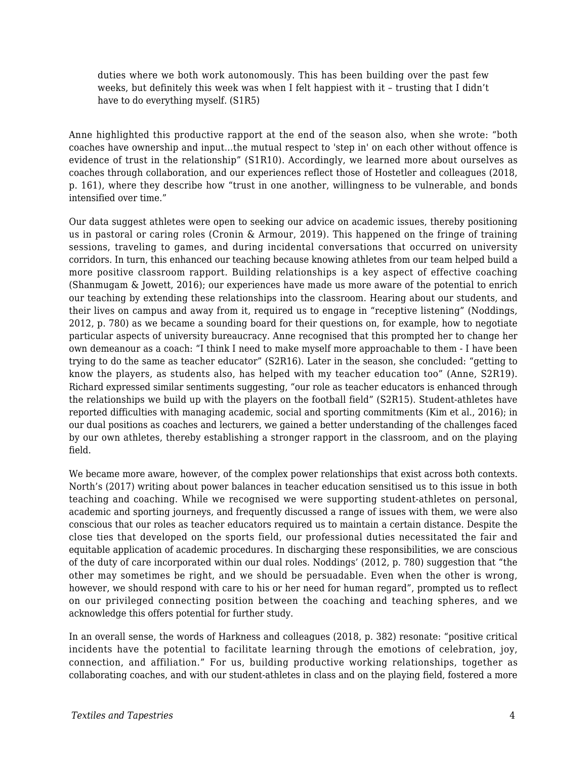duties where we both work autonomously. This has been building over the past few weeks, but definitely this week was when I felt happiest with it – trusting that I didn't have to do everything myself. (S1R5)

Anne highlighted this productive rapport at the end of the season also, when she wrote: "both coaches have ownership and input…the mutual respect to 'step in' on each other without offence is evidence of trust in the relationship" (S1R10). Accordingly, we learned more about ourselves as coaches through collaboration, and our experiences reflect those of Hostetler and colleagues (2018, p. 161), where they describe how "trust in one another, willingness to be vulnerable, and bonds intensified over time."

Our data suggest athletes were open to seeking our advice on academic issues, thereby positioning us in pastoral or caring roles (Cronin & Armour, 2019). This happened on the fringe of training sessions, traveling to games, and during incidental conversations that occurred on university corridors. In turn, this enhanced our teaching because knowing athletes from our team helped build a more positive classroom rapport. Building relationships is a key aspect of effective coaching (Shanmugam & Jowett, 2016); our experiences have made us more aware of the potential to enrich our teaching by extending these relationships into the classroom. Hearing about our students, and their lives on campus and away from it, required us to engage in "receptive listening" (Noddings, 2012, p. 780) as we became a sounding board for their questions on, for example, how to negotiate particular aspects of university bureaucracy. Anne recognised that this prompted her to change her own demeanour as a coach: "I think I need to make myself more approachable to them - I have been trying to do the same as teacher educator" (S2R16). Later in the season, she concluded: "getting to know the players, as students also, has helped with my teacher education too" (Anne, S2R19). Richard expressed similar sentiments suggesting, "our role as teacher educators is enhanced through the relationships we build up with the players on the football field" (S2R15). Student-athletes have reported difficulties with managing academic, social and sporting commitments (Kim et al., 2016); in our dual positions as coaches and lecturers, we gained a better understanding of the challenges faced by our own athletes, thereby establishing a stronger rapport in the classroom, and on the playing field.

We became more aware, however, of the complex power relationships that exist across both contexts. North's (2017) writing about power balances in teacher education sensitised us to this issue in both teaching and coaching. While we recognised we were supporting student-athletes on personal, academic and sporting journeys, and frequently discussed a range of issues with them, we were also conscious that our roles as teacher educators required us to maintain a certain distance. Despite the close ties that developed on the sports field, our professional duties necessitated the fair and equitable application of academic procedures. In discharging these responsibilities, we are conscious of the duty of care incorporated within our dual roles. Noddings' (2012, p. 780) suggestion that "the other may sometimes be right, and we should be persuadable. Even when the other is wrong, however, we should respond with care to his or her need for human regard", prompted us to reflect on our privileged connecting position between the coaching and teaching spheres, and we acknowledge this offers potential for further study.

In an overall sense, the words of Harkness and colleagues (2018, p. 382) resonate: "positive critical incidents have the potential to facilitate learning through the emotions of celebration, joy, connection, and affiliation." For us, building productive working relationships, together as collaborating coaches, and with our student-athletes in class and on the playing field, fostered a more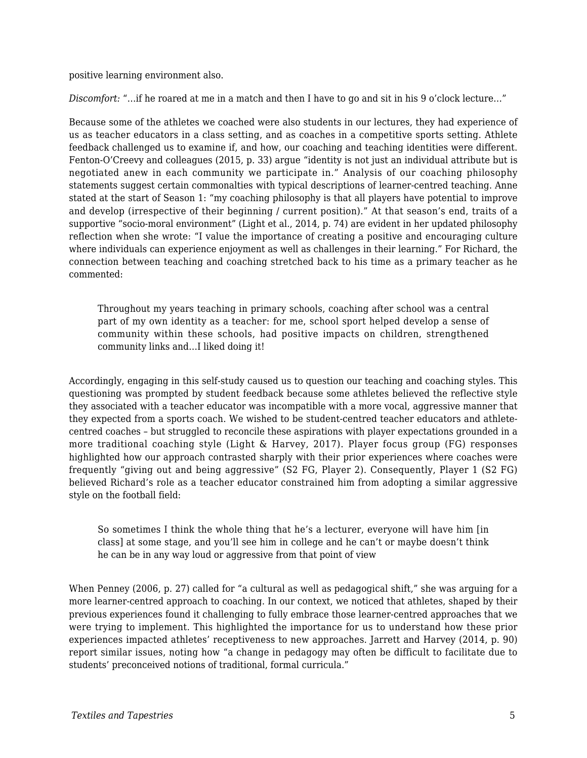positive learning environment also.

*Discomfort: "...if he roared at me in a match and then I have to go and sit in his 9 o'clock lecture..."* 

Because some of the athletes we coached were also students in our lectures, they had experience of us as teacher educators in a class setting, and as coaches in a competitive sports setting. Athlete feedback challenged us to examine if, and how, our coaching and teaching identities were different. Fenton-O'Creevy and colleagues (2015, p. 33) argue "identity is not just an individual attribute but is negotiated anew in each community we participate in." Analysis of our coaching philosophy statements suggest certain commonalties with typical descriptions of learner-centred teaching. Anne stated at the start of Season 1: "my coaching philosophy is that all players have potential to improve and develop (irrespective of their beginning / current position)." At that season's end, traits of a supportive "socio-moral environment" (Light et al., 2014, p. 74) are evident in her updated philosophy reflection when she wrote: "I value the importance of creating a positive and encouraging culture where individuals can experience enjoyment as well as challenges in their learning." For Richard, the connection between teaching and coaching stretched back to his time as a primary teacher as he commented:

Throughout my years teaching in primary schools, coaching after school was a central part of my own identity as a teacher: for me, school sport helped develop a sense of community within these schools, had positive impacts on children, strengthened community links and…I liked doing it!

Accordingly, engaging in this self-study caused us to question our teaching and coaching styles. This questioning was prompted by student feedback because some athletes believed the reflective style they associated with a teacher educator was incompatible with a more vocal, aggressive manner that they expected from a sports coach. We wished to be student-centred teacher educators and athletecentred coaches – but struggled to reconcile these aspirations with player expectations grounded in a more traditional coaching style (Light & Harvey, 2017). Player focus group (FG) responses highlighted how our approach contrasted sharply with their prior experiences where coaches were frequently "giving out and being aggressive" (S2 FG, Player 2). Consequently, Player 1 (S2 FG) believed Richard's role as a teacher educator constrained him from adopting a similar aggressive style on the football field:

So sometimes I think the whole thing that he's a lecturer, everyone will have him [in class] at some stage, and you'll see him in college and he can't or maybe doesn't think he can be in any way loud or aggressive from that point of view

When Penney (2006, p. 27) called for "a cultural as well as pedagogical shift," she was arguing for a more learner-centred approach to coaching. In our context, we noticed that athletes, shaped by their previous experiences found it challenging to fully embrace those learner-centred approaches that we were trying to implement. This highlighted the importance for us to understand how these prior experiences impacted athletes' receptiveness to new approaches. Jarrett and Harvey (2014, p. 90) report similar issues, noting how "a change in pedagogy may often be difficult to facilitate due to students' preconceived notions of traditional, formal curricula."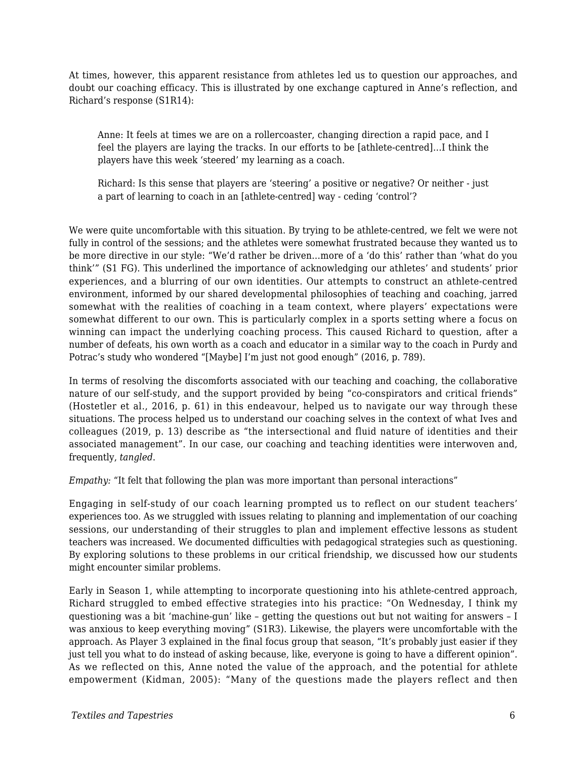At times, however, this apparent resistance from athletes led us to question our approaches, and doubt our coaching efficacy. This is illustrated by one exchange captured in Anne's reflection, and Richard's response (S1R14):

Anne: It feels at times we are on a rollercoaster, changing direction a rapid pace, and I feel the players are laying the tracks. In our efforts to be [athlete-centred]…I think the players have this week 'steered' my learning as a coach.

Richard: Is this sense that players are 'steering' a positive or negative? Or neither - just a part of learning to coach in an [athlete-centred] way - ceding 'control'?

We were quite uncomfortable with this situation. By trying to be athlete-centred, we felt we were not fully in control of the sessions; and the athletes were somewhat frustrated because they wanted us to be more directive in our style: "We'd rather be driven…more of a 'do this' rather than 'what do you think'" (S1 FG). This underlined the importance of acknowledging our athletes' and students' prior experiences, and a blurring of our own identities. Our attempts to construct an athlete-centred environment, informed by our shared developmental philosophies of teaching and coaching, jarred somewhat with the realities of coaching in a team context, where players' expectations were somewhat different to our own. This is particularly complex in a sports setting where a focus on winning can impact the underlying coaching process. This caused Richard to question, after a number of defeats, his own worth as a coach and educator in a similar way to the coach in Purdy and Potrac's study who wondered "[Maybe] I'm just not good enough" (2016, p. 789).

In terms of resolving the discomforts associated with our teaching and coaching, the collaborative nature of our self-study, and the support provided by being "co-conspirators and critical friends" (Hostetler et al., 2016, p. 61) in this endeavour, helped us to navigate our way through these situations. The process helped us to understand our coaching selves in the context of what Ives and colleagues (2019, p. 13) describe as "the intersectional and fluid nature of identities and their associated management". In our case, our coaching and teaching identities were interwoven and, frequently, *tangled*.

*Empathy:* "It felt that following the plan was more important than personal interactions"

Engaging in self-study of our coach learning prompted us to reflect on our student teachers' experiences too. As we struggled with issues relating to planning and implementation of our coaching sessions, our understanding of their struggles to plan and implement effective lessons as student teachers was increased. We documented difficulties with pedagogical strategies such as questioning. By exploring solutions to these problems in our critical friendship, we discussed how our students might encounter similar problems.

Early in Season 1, while attempting to incorporate questioning into his athlete-centred approach, Richard struggled to embed effective strategies into his practice: "On Wednesday, I think my questioning was a bit 'machine-gun' like – getting the questions out but not waiting for answers – I was anxious to keep everything moving" (S1R3). Likewise, the players were uncomfortable with the approach. As Player 3 explained in the final focus group that season, "It's probably just easier if they just tell you what to do instead of asking because, like, everyone is going to have a different opinion". As we reflected on this, Anne noted the value of the approach, and the potential for athlete empowerment (Kidman, 2005): "Many of the questions made the players reflect and then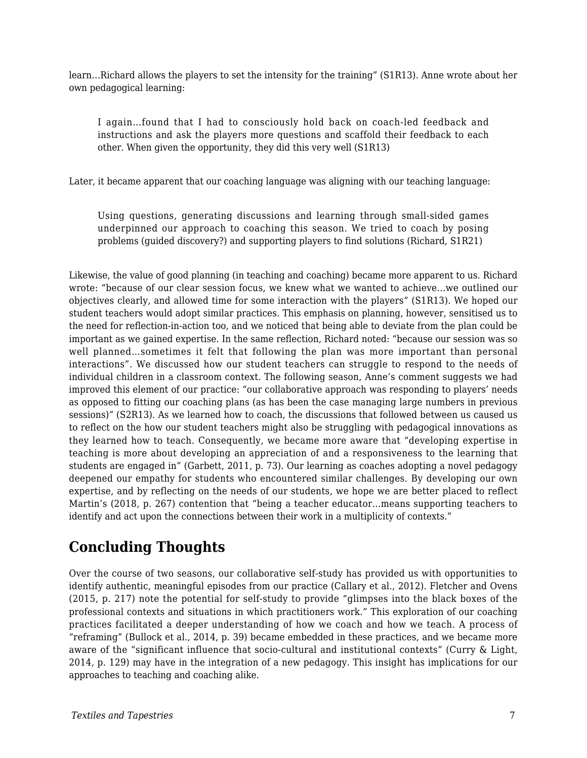learn…Richard allows the players to set the intensity for the training" (S1R13). Anne wrote about her own pedagogical learning:

I again…found that I had to consciously hold back on coach-led feedback and instructions and ask the players more questions and scaffold their feedback to each other. When given the opportunity, they did this very well (S1R13)

Later, it became apparent that our coaching language was aligning with our teaching language:

Using questions, generating discussions and learning through small-sided games underpinned our approach to coaching this season. We tried to coach by posing problems (guided discovery?) and supporting players to find solutions (Richard, S1R21)

Likewise, the value of good planning (in teaching and coaching) became more apparent to us. Richard wrote: "because of our clear session focus, we knew what we wanted to achieve…we outlined our objectives clearly, and allowed time for some interaction with the players" (S1R13). We hoped our student teachers would adopt similar practices. This emphasis on planning, however, sensitised us to the need for reflection-in-action too, and we noticed that being able to deviate from the plan could be important as we gained expertise. In the same reflection, Richard noted: "because our session was so well planned…sometimes it felt that following the plan was more important than personal interactions". We discussed how our student teachers can struggle to respond to the needs of individual children in a classroom context. The following season, Anne's comment suggests we had improved this element of our practice: "our collaborative approach was responding to players' needs as opposed to fitting our coaching plans (as has been the case managing large numbers in previous sessions)" (S2R13). As we learned how to coach, the discussions that followed between us caused us to reflect on the how our student teachers might also be struggling with pedagogical innovations as they learned how to teach. Consequently, we became more aware that "developing expertise in teaching is more about developing an appreciation of and a responsiveness to the learning that students are engaged in" (Garbett, 2011, p. 73). Our learning as coaches adopting a novel pedagogy deepened our empathy for students who encountered similar challenges. By developing our own expertise, and by reflecting on the needs of our students, we hope we are better placed to reflect Martin's (2018, p. 267) contention that "being a teacher educator…means supporting teachers to identify and act upon the connections between their work in a multiplicity of contexts."

## **Concluding Thoughts**

Over the course of two seasons, our collaborative self-study has provided us with opportunities to identify authentic, meaningful episodes from our practice (Callary et al., 2012). Fletcher and Ovens (2015, p. 217) note the potential for self-study to provide "glimpses into the black boxes of the professional contexts and situations in which practitioners work." This exploration of our coaching practices facilitated a deeper understanding of how we coach and how we teach. A process of "reframing" (Bullock et al., 2014, p. 39) became embedded in these practices, and we became more aware of the "significant influence that socio-cultural and institutional contexts" (Curry & Light, 2014, p. 129) may have in the integration of a new pedagogy. This insight has implications for our approaches to teaching and coaching alike.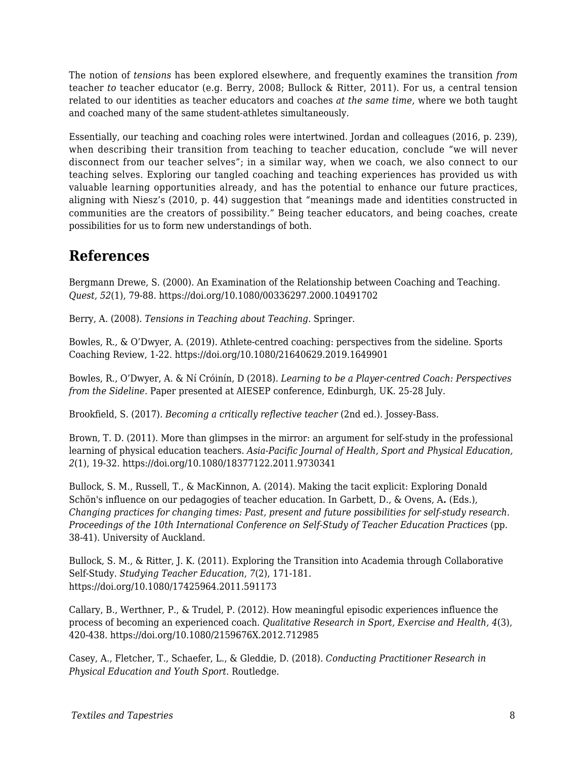The notion of *tensions* has been explored elsewhere, and frequently examines the transition *from* teacher *to* teacher educator (e.g. Berry, 2008; Bullock & Ritter, 2011). For us, a central tension related to our identities as teacher educators and coaches *at the same time,* where we both taught and coached many of the same student-athletes simultaneously.

Essentially, our teaching and coaching roles were intertwined. Jordan and colleagues (2016, p. 239), when describing their transition from teaching to teacher education, conclude "we will never disconnect from our teacher selves"; in a similar way, when we coach, we also connect to our teaching selves. Exploring our tangled coaching and teaching experiences has provided us with valuable learning opportunities already, and has the potential to enhance our future practices, aligning with Niesz's (2010, p. 44) suggestion that "meanings made and identities constructed in communities are the creators of possibility." Being teacher educators, and being coaches, create possibilities for us to form new understandings of both.

#### **References**

Bergmann Drewe, S. (2000). An Examination of the Relationship between Coaching and Teaching. *Quest, 52*(1), 79-88. https://doi.org/10.1080/00336297.2000.10491702

Berry, A. (2008). *Tensions in Teaching about Teaching*. Springer.

Bowles, R., & O'Dwyer, A. (2019). Athlete-centred coaching: perspectives from the sideline. Sports Coaching Review, 1-22. https://doi.org/10.1080/21640629.2019.1649901

Bowles, R., O'Dwyer, A. & Ní Cróinín, D (2018). *Learning to be a Player-centred Coach: Perspectives from the Sideline.* Paper presented at AIESEP conference, Edinburgh, UK. 25-28 July.

Brookfield, S. (2017). *Becoming a critically reflective teacher* (2nd ed.). Jossey-Bass.

Brown, T. D. (2011). More than glimpses in the mirror: an argument for self-study in the professional learning of physical education teachers. *Asia-Pacific Journal of Health, Sport and Physical Education, 2*(1), 19-32. https://doi.org/10.1080/18377122.2011.9730341

Bullock, S. M., Russell, T., & MacKinnon, A. (2014). Making the tacit explicit: Exploring Donald Schön's influence on our pedagogies of teacher education. In Garbett, D., & Ovens, A**.** (Eds.), *Changing practices for changing times: Past, present and future possibilities for self-study research. Proceedings of the 10th International Conference on Self-Study of Teacher Education Practices* (pp. 38-41). University of Auckland.

Bullock, S. M., & Ritter, J. K. (2011). Exploring the Transition into Academia through Collaborative Self-Study. *Studying Teacher Education, 7*(2), 171-181. https://doi.org/10.1080/17425964.2011.591173

Callary, B., Werthner, P., & Trudel, P. (2012). How meaningful episodic experiences influence the process of becoming an experienced coach. *Qualitative Research in Sport, Exercise and Health, 4*(3), 420-438. https://doi.org/10.1080/2159676X.2012.712985

Casey, A., Fletcher, T., Schaefer, L., & Gleddie, D. (2018). *Conducting Practitioner Research in Physical Education and Youth Sport*. Routledge.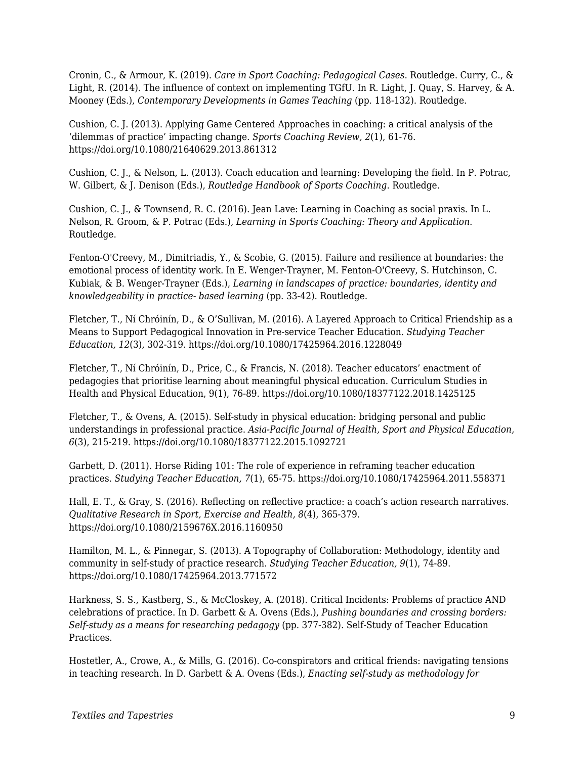Cronin, C., & Armour, K. (2019). *Care in Sport Coaching: Pedagogical Cases*. Routledge. Curry, C., & Light, R. (2014). The influence of context on implementing TGfU. In R. Light, J. Quay, S. Harvey, & A. Mooney (Eds.), *Contemporary Developments in Games Teaching* (pp. 118-132). Routledge.

Cushion, C. J. (2013). Applying Game Centered Approaches in coaching: a critical analysis of the 'dilemmas of practice' impacting change. *Sports Coaching Review, 2*(1), 61-76. https://doi.org/10.1080/21640629.2013.861312

Cushion, C. J., & Nelson, L. (2013). Coach education and learning: Developing the field. In P. Potrac, W. Gilbert, & J. Denison (Eds.), *Routledge Handbook of Sports Coaching*. Routledge.

Cushion, C. J., & Townsend, R. C. (2016). Jean Lave: Learning in Coaching as social praxis. In L. Nelson, R. Groom, & P. Potrac (Eds.), *Learning in Sports Coaching: Theory and Application*. Routledge.

Fenton-O'Creevy, M., Dimitriadis, Y., & Scobie, G. (2015). Failure and resilience at boundaries: the emotional process of identity work. In E. Wenger-Trayner, M. Fenton-O'Creevy, S. Hutchinson, C. Kubiak, & B. Wenger-Trayner (Eds.), *Learning in landscapes of practice: boundaries, identity and knowledgeability in practice- based learning* (pp. 33-42). Routledge.

Fletcher, T., Ní Chróinín, D., & O'Sullivan, M. (2016). A Layered Approach to Critical Friendship as a Means to Support Pedagogical Innovation in Pre-service Teacher Education. *Studying Teacher Education, 12*(3), 302-319. https://doi.org/10.1080/17425964.2016.1228049

Fletcher, T., Ní Chróinín, D., Price, C., & Francis, N. (2018). Teacher educators' enactment of pedagogies that prioritise learning about meaningful physical education. Curriculum Studies in Health and Physical Education, 9(1), 76-89. https://doi.org/10.1080/18377122.2018.1425125

Fletcher, T., & Ovens, A. (2015). Self-study in physical education: bridging personal and public understandings in professional practice. *Asia-Pacific Journal of Health, Sport and Physical Education, 6*(3), 215-219. https://doi.org/10.1080/18377122.2015.1092721

Garbett, D. (2011). Horse Riding 101: The role of experience in reframing teacher education practices. *Studying Teacher Education, 7*(1), 65-75. https://doi.org/10.1080/17425964.2011.558371

Hall, E. T., & Gray, S. (2016). Reflecting on reflective practice: a coach's action research narratives. *Qualitative Research in Sport, Exercise and Health, 8*(4), 365-379. https://doi.org/10.1080/2159676X.2016.1160950

Hamilton, M. L., & Pinnegar, S. (2013). A Topography of Collaboration: Methodology, identity and community in self-study of practice research. *Studying Teacher Education, 9*(1), 74-89. https://doi.org/10.1080/17425964.2013.771572

Harkness, S. S., Kastberg, S., & McCloskey, A. (2018). Critical Incidents: Problems of practice AND celebrations of practice. In D. Garbett & A. Ovens (Eds.), *Pushing boundaries and crossing borders: Self-study as a means for researching pedagogy* (pp. 377-382). Self-Study of Teacher Education Practices.

Hostetler, A., Crowe, A., & Mills, G. (2016). Co-conspirators and critical friends: navigating tensions in teaching research. In D. Garbett & A. Ovens (Eds.), *Enacting self-study as methodology for*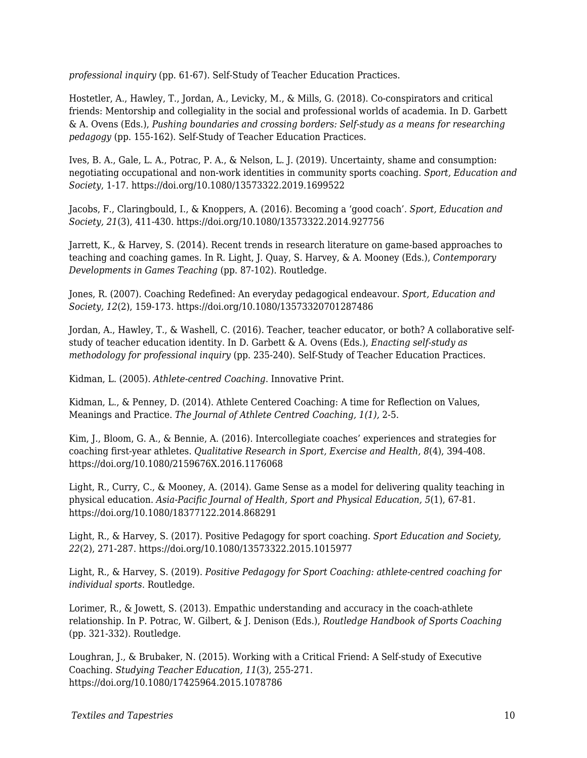*professional inquiry* (pp. 61-67). Self-Study of Teacher Education Practices.

Hostetler, A., Hawley, T., Jordan, A., Levicky, M., & Mills, G. (2018). Co-conspirators and critical friends: Mentorship and collegiality in the social and professional worlds of academia. In D. Garbett & A. Ovens (Eds.), *Pushing boundaries and crossing borders: Self-study as a means for researching pedagogy* (pp. 155-162). Self-Study of Teacher Education Practices.

Ives, B. A., Gale, L. A., Potrac, P. A., & Nelson, L. J. (2019). Uncertainty, shame and consumption: negotiating occupational and non-work identities in community sports coaching. *Sport, Education and Society*, 1-17. https://doi.org/10.1080/13573322.2019.1699522

Jacobs, F., Claringbould, I., & Knoppers, A. (2016). Becoming a 'good coach'. *Sport, Education and Society, 21*(3), 411-430. https://doi.org/10.1080/13573322.2014.927756

Jarrett, K., & Harvey, S. (2014). Recent trends in research literature on game-based approaches to teaching and coaching games. In R. Light, J. Quay, S. Harvey, & A. Mooney (Eds.), *Contemporary Developments in Games Teaching* (pp. 87-102). Routledge.

Jones, R. (2007). Coaching Redefined: An everyday pedagogical endeavour. *Sport, Education and Society, 12*(2), 159-173. https://doi.org/10.1080/13573320701287486

Jordan, A., Hawley, T., & Washell, C. (2016). Teacher, teacher educator, or both? A collaborative selfstudy of teacher education identity. In D. Garbett & A. Ovens (Eds.), *Enacting self-study as methodology for professional inquiry* (pp. 235-240). Self-Study of Teacher Education Practices.

Kidman, L. (2005). *Athlete-centred Coaching*. Innovative Print.

Kidman, L., & Penney, D. (2014). Athlete Centered Coaching: A time for Reflection on Values, Meanings and Practice. *The Journal of Athlete Centred Coaching, 1(1),* 2-5.

Kim, J., Bloom, G. A., & Bennie, A. (2016). Intercollegiate coaches' experiences and strategies for coaching first-year athletes. *Qualitative Research in Sport, Exercise and Health, 8*(4), 394-408. https://doi.org/10.1080/2159676X.2016.1176068

Light, R., Curry, C., & Mooney, A. (2014). Game Sense as a model for delivering quality teaching in physical education. *Asia-Pacific Journal of Health, Sport and Physical Education, 5*(1), 67-81. https://doi.org/10.1080/18377122.2014.868291

Light, R., & Harvey, S. (2017). Positive Pedagogy for sport coaching. *Sport Education and Society, 22*(2), 271-287. https://doi.org/10.1080/13573322.2015.1015977

Light, R., & Harvey, S. (2019). *Positive Pedagogy for Sport Coaching: athlete-centred coaching for individual sports*. Routledge.

Lorimer, R., & Jowett, S. (2013). Empathic understanding and accuracy in the coach-athlete relationship. In P. Potrac, W. Gilbert, & J. Denison (Eds.), *Routledge Handbook of Sports Coaching* (pp. 321-332). Routledge.

Loughran, J., & Brubaker, N. (2015). Working with a Critical Friend: A Self-study of Executive Coaching. *Studying Teacher Education, 11*(3), 255-271. https://doi.org/10.1080/17425964.2015.1078786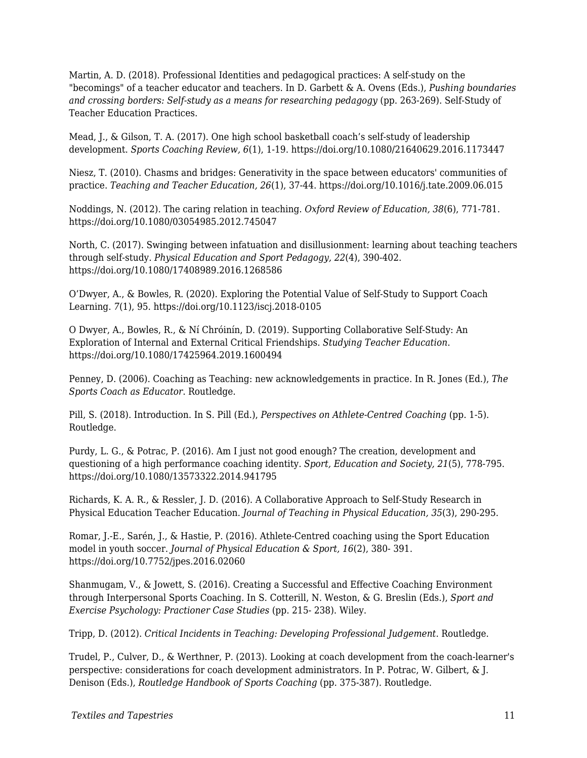Martin, A. D. (2018). Professional Identities and pedagogical practices: A self-study on the "becomings" of a teacher educator and teachers. In D. Garbett & A. Ovens (Eds.), *Pushing boundaries and crossing borders: Self-study as a means for researching pedagogy* (pp. 263-269). Self-Study of Teacher Education Practices.

Mead, J., & Gilson, T. A. (2017). One high school basketball coach's self-study of leadership development. *Sports Coaching Review, 6*(1), 1-19. https://doi.org/10.1080/21640629.2016.1173447

Niesz, T. (2010). Chasms and bridges: Generativity in the space between educators' communities of practice. *Teaching and Teacher Education, 26*(1), 37-44. https://doi.org/10.1016/j.tate.2009.06.015

Noddings, N. (2012). The caring relation in teaching. *Oxford Review of Education, 38*(6), 771-781. https://doi.org/10.1080/03054985.2012.745047

North, C. (2017). Swinging between infatuation and disillusionment: learning about teaching teachers through self-study. *Physical Education and Sport Pedagogy, 22*(4), 390-402. https://doi.org/10.1080/17408989.2016.1268586

O'Dwyer, A., & Bowles, R. (2020). Exploring the Potential Value of Self-Study to Support Coach Learning. *7*(1), 95. https://doi.org/10.1123/iscj.2018-0105

O Dwyer, A., Bowles, R., & Ní Chróinín, D. (2019). Supporting Collaborative Self-Study: An Exploration of Internal and External Critical Friendships. *Studying Teacher Education*. https://doi.org/10.1080/17425964.2019.1600494

Penney, D. (2006). Coaching as Teaching: new acknowledgements in practice. In R. Jones (Ed.), *The Sports Coach as Educator*. Routledge.

Pill, S. (2018). Introduction. In S. Pill (Ed.), *Perspectives on Athlete-Centred Coaching* (pp. 1-5). Routledge.

Purdy, L. G., & Potrac, P. (2016). Am I just not good enough? The creation, development and questioning of a high performance coaching identity. *Sport, Education and Society, 21*(5), 778-795. https://doi.org/10.1080/13573322.2014.941795

Richards, K. A. R., & Ressler, J. D. (2016). A Collaborative Approach to Self-Study Research in Physical Education Teacher Education. *Journal of Teaching in Physical Education, 35*(3), 290-295.

Romar, J.-E., Sarén, J., & Hastie, P. (2016). Athlete-Centred coaching using the Sport Education model in youth soccer. *Journal of Physical Education & Sport, 16*(2), 380- 391. https://doi.org/10.7752/jpes.2016.02060

Shanmugam, V., & Jowett, S. (2016). Creating a Successful and Effective Coaching Environment through Interpersonal Sports Coaching. In S. Cotterill, N. Weston, & G. Breslin (Eds.), *Sport and Exercise Psychology: Practioner Case Studies* (pp. 215- 238). Wiley.

Tripp, D. (2012). *Critical Incidents in Teaching: Developing Professional Judgement*. Routledge.

Trudel, P., Culver, D., & Werthner, P. (2013). Looking at coach development from the coach-learner's perspective: considerations for coach development administrators. In P. Potrac, W. Gilbert, & J. Denison (Eds.), *Routledge Handbook of Sports Coaching* (pp. 375-387). Routledge.